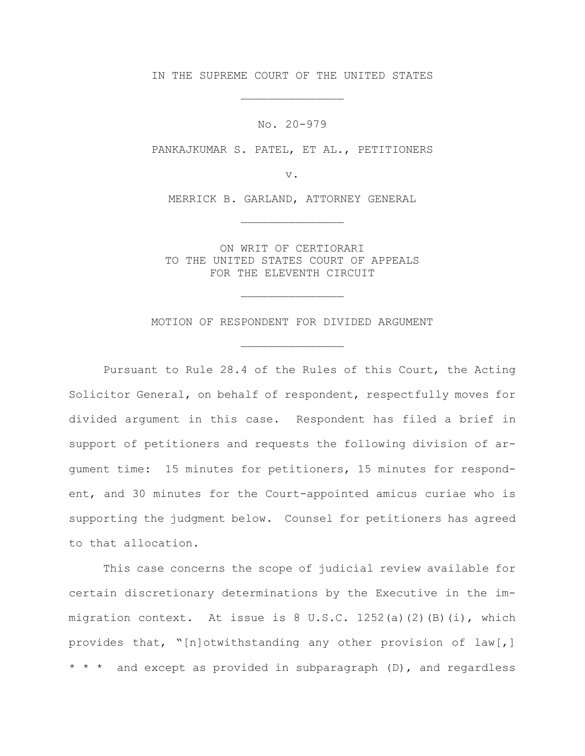IN THE SUPREME COURT OF THE UNITED STATES

\_\_\_\_\_\_\_\_\_\_\_\_\_\_\_

No. 20-979

PANKAJKUMAR S. PATEL, ET AL., PETITIONERS

v.

MERRICK B. GARLAND, ATTORNEY GENERAL

\_\_\_\_\_\_\_\_\_\_\_\_\_\_\_

ON WRIT OF CERTIORARI TO THE UNITED STATES COURT OF APPEALS FOR THE ELEVENTH CIRCUIT

MOTION OF RESPONDENT FOR DIVIDED ARGUMENT

\_\_\_\_\_\_\_\_\_\_\_\_\_\_\_

\_\_\_\_\_\_\_\_\_\_\_\_\_\_\_

Pursuant to Rule 28.4 of the Rules of this Court, the Acting Solicitor General, on behalf of respondent, respectfully moves for divided argument in this case. Respondent has filed a brief in support of petitioners and requests the following division of argument time: 15 minutes for petitioners, 15 minutes for respondent, and 30 minutes for the Court-appointed amicus curiae who is supporting the judgment below. Counsel for petitioners has agreed to that allocation.

This case concerns the scope of judicial review available for certain discretionary determinations by the Executive in the immigration context. At issue is  $8 \text{ U.S.C. } 1252(a)(2)(B)(i)$ , which provides that, "[n]otwithstanding any other provision of law[,] \* \* \* and except as provided in subparagraph (D), and regardless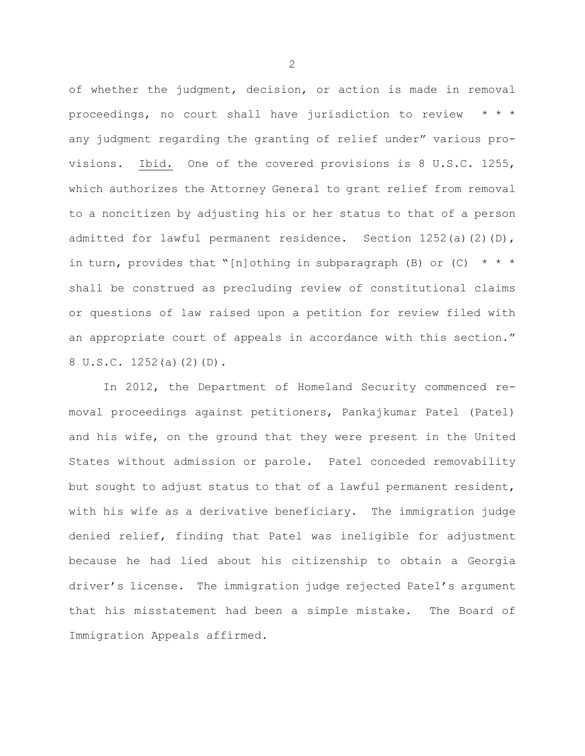of whether the judgment, decision, or action is made in removal proceedings, no court shall have jurisdiction to review any judgment regarding the granting of relief under" various provisions. Ibid. One of the covered provisions is 8 U.S.C. 1255, which authorizes the Attorney General to grant relief from removal to a noncitizen by adjusting his or her status to that of a person admitted for lawful permanent residence. Section  $1252(a)(2)(D)$ , in turn, provides that "[n]othing in subparagraph (B) or (C)  $* * *$ shall be construed as precluding review of constitutional claims or questions of law raised upon a petition for review filed with an appropriate court of appeals in accordance with this section." 8 U.S.C. 1252(a)(2)(D).

In 2012, the Department of Homeland Security commenced removal proceedings against petitioners, Pankajkumar Patel (Patel) and his wife, on the ground that they were present in the United States without admission or parole. Patel conceded removability but sought to adjust status to that of a lawful permanent resident, with his wife as a derivative beneficiary. The immigration judge denied relief, finding that Patel was ineligible for adjustment because he had lied about his citizenship to obtain a Georgia driver's license. The immigration judge rejected Patel's argument that his misstatement had been a simple mistake. The Board of Immigration Appeals affirmed.

2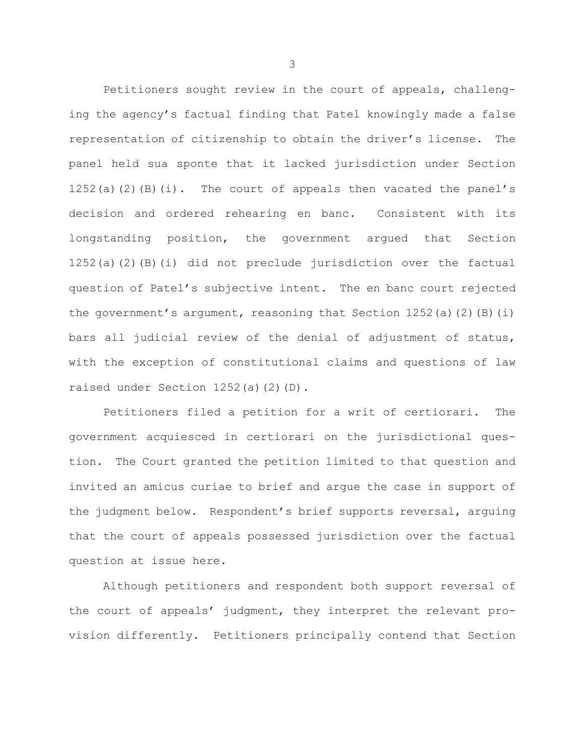Petitioners sought review in the court of appeals, challenging the agency's factual finding that Patel knowingly made a false representation of citizenship to obtain the driver's license. The panel held sua sponte that it lacked jurisdiction under Section 1252(a)(2)(B)(i). The court of appeals then vacated the panel's decision and ordered rehearing en banc. Consistent with its longstanding position, the government argued that Section 1252(a)(2)(B)(i) did not preclude jurisdiction over the factual question of Patel's subjective intent. The en banc court rejected the government's argument, reasoning that Section  $1252(a)(2)(B)(i)$ bars all judicial review of the denial of adjustment of status, with the exception of constitutional claims and questions of law raised under Section 1252(a)(2)(D).

Petitioners filed a petition for a writ of certiorari. The government acquiesced in certiorari on the jurisdictional question. The Court granted the petition limited to that question and invited an amicus curiae to brief and argue the case in support of the judgment below. Respondent's brief supports reversal, arguing that the court of appeals possessed jurisdiction over the factual question at issue here.

Although petitioners and respondent both support reversal of the court of appeals' judgment, they interpret the relevant provision differently. Petitioners principally contend that Section

3